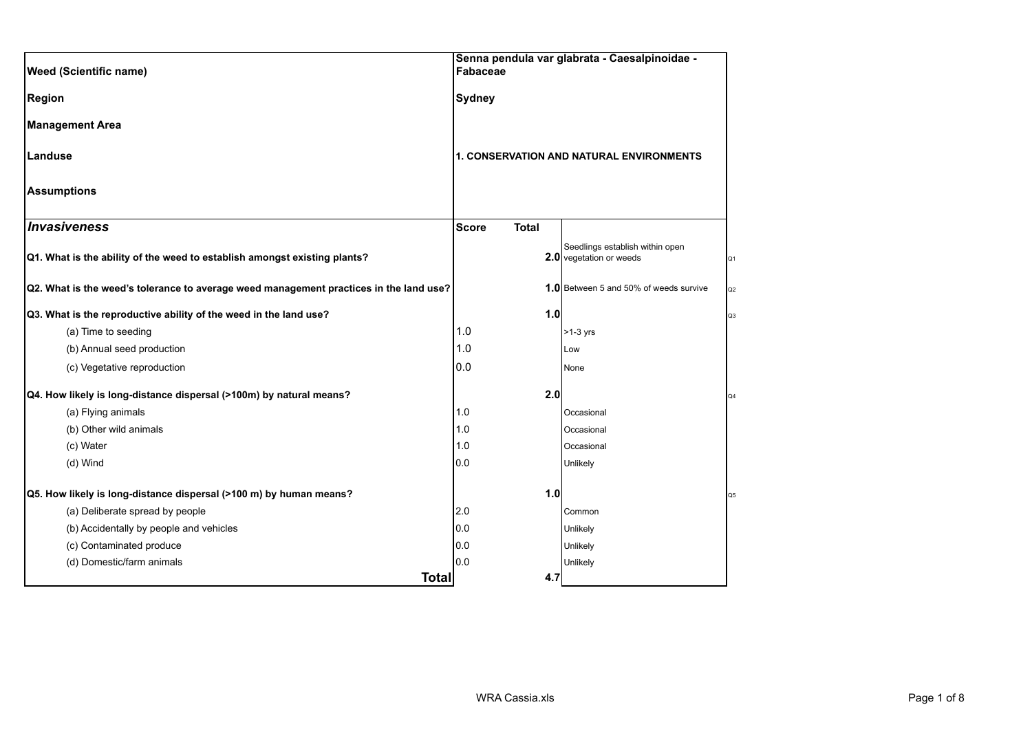| <b>Weed (Scientific name)</b>                                                          |               | Senna pendula var glabrata - Caesalpinoidae -<br>Fabaceae |                                                            |                |
|----------------------------------------------------------------------------------------|---------------|-----------------------------------------------------------|------------------------------------------------------------|----------------|
| <b>Region</b>                                                                          | <b>Sydney</b> |                                                           |                                                            |                |
| <b>Management Area</b>                                                                 |               |                                                           |                                                            |                |
| Landuse                                                                                |               |                                                           | 1. CONSERVATION AND NATURAL ENVIRONMENTS                   |                |
| <b>Assumptions</b>                                                                     |               |                                                           |                                                            |                |
| Invasiveness                                                                           | <b>Score</b>  | <b>Total</b>                                              |                                                            |                |
| Q1. What is the ability of the weed to establish amongst existing plants?              |               |                                                           | Seedlings establish within open<br>2.0 vegetation or weeds | Q <sub>1</sub> |
| Q2. What is the weed's tolerance to average weed management practices in the land use? |               |                                                           | 1.0 Between 5 and 50% of weeds survive                     | Q2             |
| Q3. What is the reproductive ability of the weed in the land use?                      |               | 1.0                                                       |                                                            | Q3             |
| (a) Time to seeding                                                                    | 1.0           |                                                           | $>1-3$ yrs                                                 |                |
| (b) Annual seed production                                                             | 1.0           |                                                           | Low                                                        |                |
| (c) Vegetative reproduction                                                            | 0.0           |                                                           | None                                                       |                |
| Q4. How likely is long-distance dispersal (>100m) by natural means?                    |               | 2.0                                                       |                                                            | Q4             |
| (a) Flying animals                                                                     | 1.0           |                                                           | Occasional                                                 |                |
| (b) Other wild animals                                                                 | 1.0           |                                                           | Occasional                                                 |                |
| (c) Water                                                                              | 1.0           |                                                           | Occasional                                                 |                |
| (d) Wind                                                                               | 0.0           |                                                           | Unlikely                                                   |                |
| Q5. How likely is long-distance dispersal (>100 m) by human means?                     |               | 1.0                                                       |                                                            | Q5             |
| (a) Deliberate spread by people                                                        | 2.0           |                                                           | Common                                                     |                |
| (b) Accidentally by people and vehicles                                                | 0.0           |                                                           | Unlikely                                                   |                |
| (c) Contaminated produce                                                               | 0.0           |                                                           | Unlikely                                                   |                |
| (d) Domestic/farm animals                                                              | 0.0           |                                                           | Unlikely                                                   |                |
| <b>Total</b>                                                                           |               | 4.7                                                       |                                                            |                |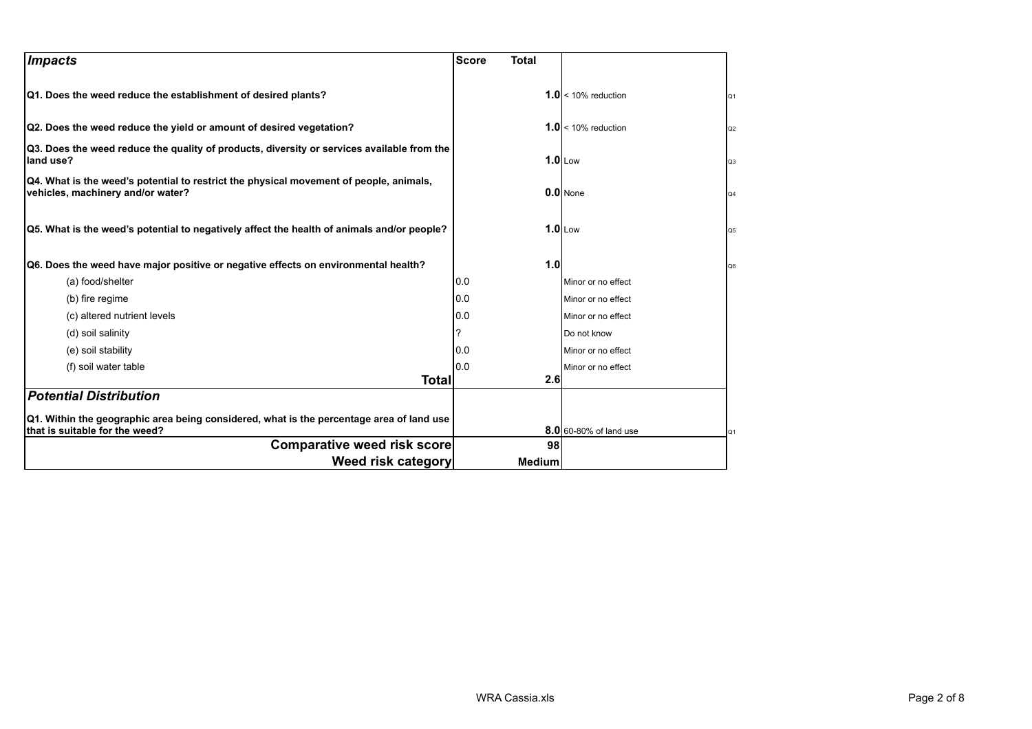| <b>Impacts</b>                                                                                                              | <b>Score</b><br><b>Total</b> |                        |                |
|-----------------------------------------------------------------------------------------------------------------------------|------------------------------|------------------------|----------------|
| Q1. Does the weed reduce the establishment of desired plants?                                                               |                              | $1.0 < 10\%$ reduction | Q <sub>1</sub> |
| Q2. Does the weed reduce the yield or amount of desired vegetation?                                                         |                              | $1.0 < 10\%$ reduction | Q2             |
| Q3. Does the weed reduce the quality of products, diversity or services available from the<br>land use?                     |                              | $1.0$ Low              | Q <sub>3</sub> |
| Q4. What is the weed's potential to restrict the physical movement of people, animals,<br>vehicles, machinery and/or water? |                              | $0.0$ None             | Q4             |
| Q5. What is the weed's potential to negatively affect the health of animals and/or people?                                  |                              | $1.0$ Low              | Q <sub>5</sub> |
| Q6. Does the weed have major positive or negative effects on environmental health?                                          | 1.0                          |                        | Q6             |
| (a) food/shelter                                                                                                            | 0.0                          | Minor or no effect     |                |
| (b) fire regime                                                                                                             | 0.0                          | Minor or no effect     |                |
| (c) altered nutrient levels                                                                                                 | 0.0                          | Minor or no effect     |                |
| (d) soil salinity                                                                                                           |                              | Do not know            |                |
| (e) soil stability                                                                                                          | 10.0                         | Minor or no effect     |                |
| (f) soil water table                                                                                                        | 10.0                         | Minor or no effect     |                |
| Total                                                                                                                       | 2.6                          |                        |                |
| <b>Potential Distribution</b>                                                                                               |                              |                        |                |
| Q1. Within the geographic area being considered, what is the percentage area of land use<br>that is suitable for the weed?  |                              | 8.0 60-80% of land use | Q1             |
| <b>Comparative weed risk score</b>                                                                                          | 98                           |                        |                |
| Weed risk category                                                                                                          | <b>Medium</b>                |                        |                |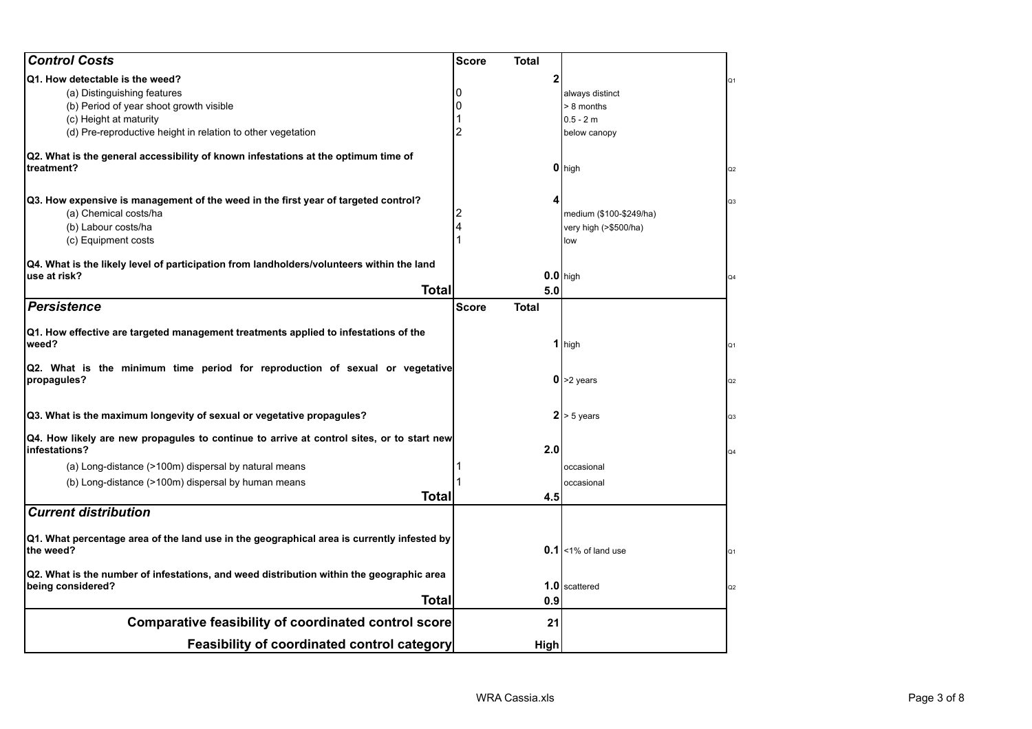| <b>Control Costs</b>                                                                                       | <b>Score</b><br>Total        |                         |                |
|------------------------------------------------------------------------------------------------------------|------------------------------|-------------------------|----------------|
| Q1. How detectable is the weed?                                                                            | $\mathbf{2}$                 |                         | Q1             |
| (a) Distinguishing features                                                                                |                              | always distinct         |                |
| (b) Period of year shoot growth visible                                                                    |                              | > 8 months              |                |
| (c) Height at maturity                                                                                     |                              | $0.5 - 2m$              |                |
| (d) Pre-reproductive height in relation to other vegetation                                                | 2                            | below canopy            |                |
| Q2. What is the general accessibility of known infestations at the optimum time of<br>treatment?           |                              | 0 high                  | Q <sub>2</sub> |
| Q3. How expensive is management of the weed in the first year of targeted control?                         | 4                            |                         | Q3             |
| (a) Chemical costs/ha                                                                                      |                              | medium (\$100-\$249/ha) |                |
| (b) Labour costs/ha                                                                                        |                              | very high (>\$500/ha)   |                |
| (c) Equipment costs                                                                                        |                              | low                     |                |
|                                                                                                            |                              |                         |                |
| Q4. What is the likely level of participation from landholders/volunteers within the land<br>use at risk?  |                              | $0.0$ high              | Q4             |
| <b>Total</b>                                                                                               | 5.0                          |                         |                |
| <b>Persistence</b>                                                                                         | <b>Score</b><br><b>Total</b> |                         |                |
| Q1. How effective are targeted management treatments applied to infestations of the<br>weed?               |                              | 1 high                  | Q1             |
| Q2. What is the minimum time period for reproduction of sexual or vegetative<br>propagules?                |                              | $0$ >2 years            | Q2             |
| Q3. What is the maximum longevity of sexual or vegetative propagules?                                      |                              | $2 > 5$ years           | Q <sub>3</sub> |
| Q4. How likely are new propagules to continue to arrive at control sites, or to start new<br>infestations? | 2.0                          |                         | Q4             |
| (a) Long-distance (>100m) dispersal by natural means                                                       |                              | occasional              |                |
| (b) Long-distance (>100m) dispersal by human means                                                         |                              | occasional              |                |
| <b>Total</b>                                                                                               | 4.5                          |                         |                |
| <b>Current distribution</b>                                                                                |                              |                         |                |
| Q1. What percentage area of the land use in the geographical area is currently infested by<br>the weed?    |                              | $0.1$ <1% of land use   | Q1             |
| Q2. What is the number of infestations, and weed distribution within the geographic area                   |                              |                         |                |
| being considered?                                                                                          |                              | 1.0 scattered           | Q2             |
| Total                                                                                                      | 0.9                          |                         |                |
| <b>Comparative feasibility of coordinated control score</b>                                                | 21                           |                         |                |
| <b>Feasibility of coordinated control category</b>                                                         | High                         |                         |                |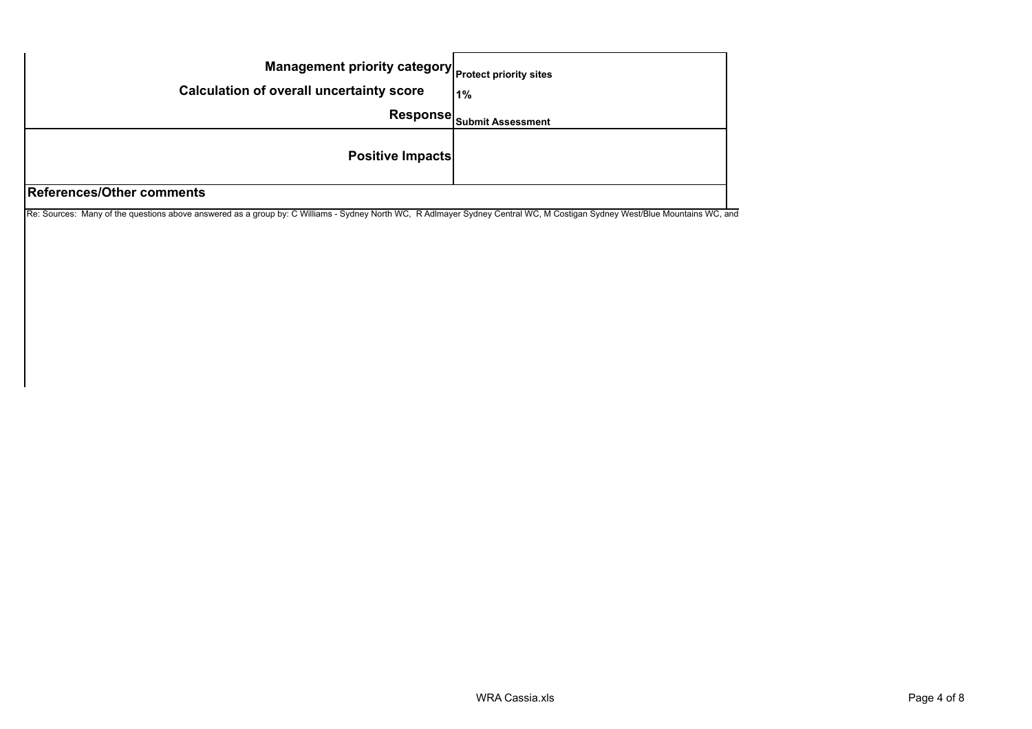| Management priority category Protect priority sites |                                       |
|-----------------------------------------------------|---------------------------------------|
| <b>Calculation of overall uncertainty score</b>     | 1%                                    |
|                                                     | Response <sub>Submit Assessment</sub> |
| <b>Positive Impacts</b>                             |                                       |
| References/Other comments                           |                                       |

Re: Sources: Many of the questions above answered as a group by: C Williams - Sydney North WC, R Adlmayer Sydney Central WC, M Costigan Sydney West/Blue Mountains WC, and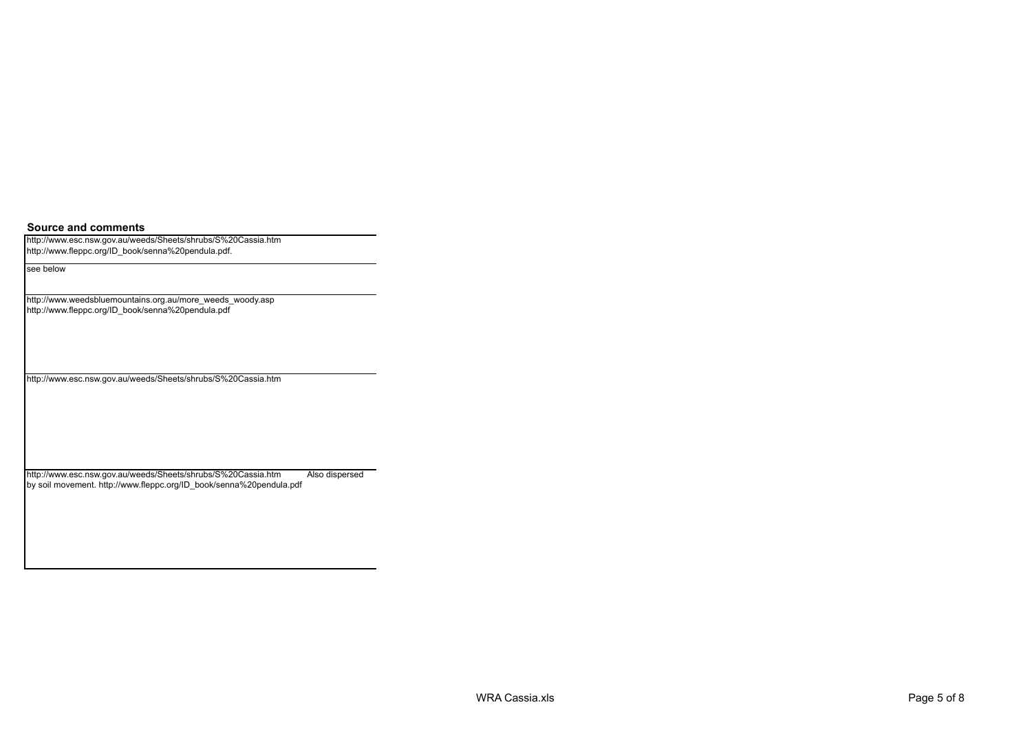**Source and comments**

http://www.esc.nsw.gov.au/weeds/Sheets/shrubs/S%20Cassia.htm http://www.fleppc.org/ID\_book/senna%20pendula.pdf.

see below

http://www.weedsbluemountains.org.au/more\_weeds\_woody.asp http://www.fleppc.org/ID\_book/senna%20pendula.pdf

http://www.esc.nsw.gov.au/weeds/Sheets/shrubs/S%20Cassia.htm

http://www.esc.nsw.gov.au/weeds/Sheets/shrubs/S%20Cassia.htm Also dispersed by soil movement. http://www.fleppc.org/ID\_book/senna%20pendula.pdf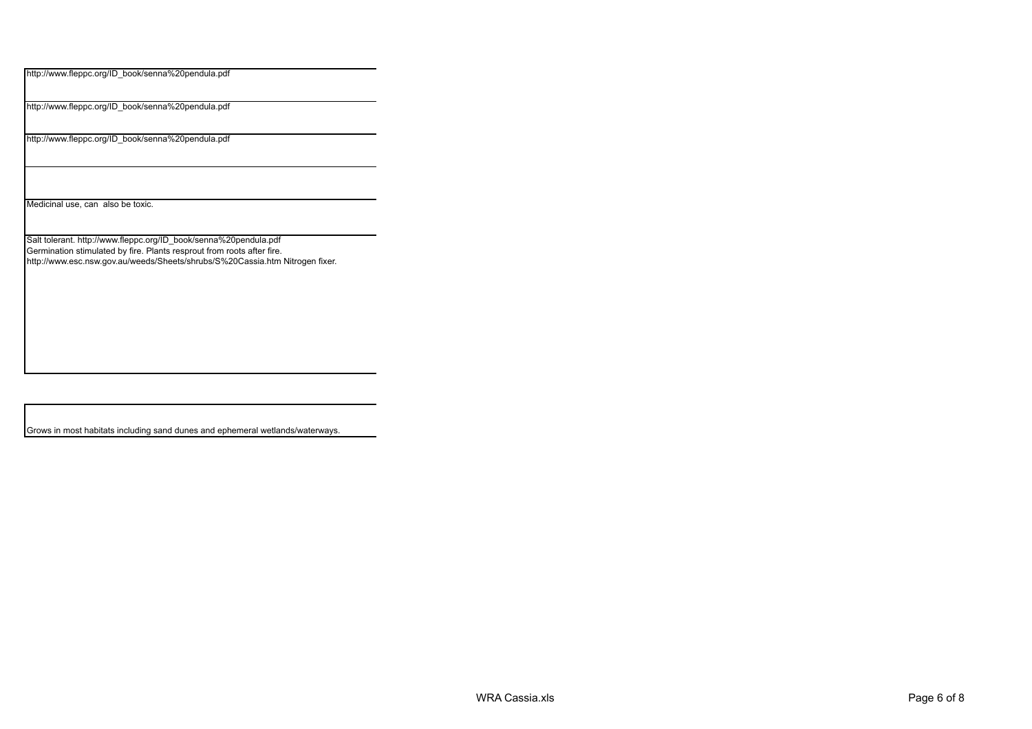http://www.fleppc.org/ID\_book/senna%20pendula.pdf

http://www.fleppc.org/ID\_book/senna%20pendula.pdf

http://www.fleppc.org/ID\_book/senna%20pendula.pdf

Medicinal use, can also be toxic.

Salt tolerant. http://www.fleppc.org/ID\_book/senna%20pendula.pdf Germination stimulated by fire. Plants resprout from roots after fire. http://www.esc.nsw.gov.au/weeds/Sheets/shrubs/S%20Cassia.htm Nitrogen fixer.

Grows in most habitats including sand dunes and ephemeral wetlands/waterways.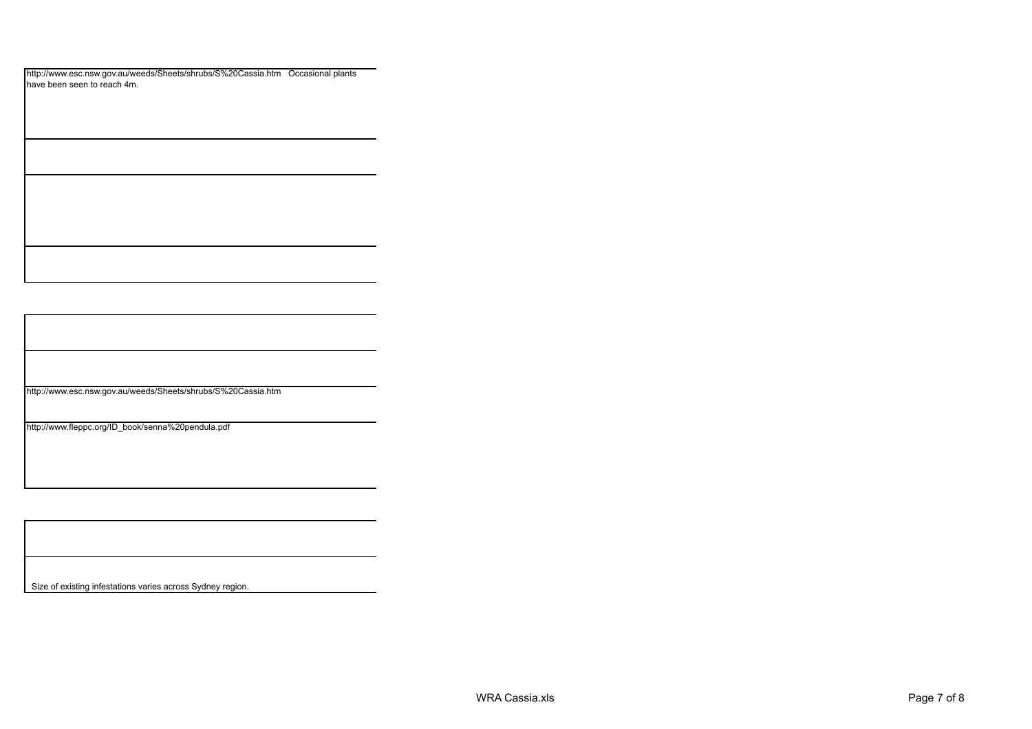| http://www.esc.nsw.gov.au/weeds/Sheets/shrubs/S%20Cassia.htm Occasional plants |  |
|--------------------------------------------------------------------------------|--|
| have been seen to reach 4m.                                                    |  |

http://www.esc.nsw.gov.au/weeds/Sheets/shrubs/S%20Cassia.htm

http://www.fleppc.org/ID\_book/senna%20pendula.pdf

Size of existing infestations varies across Sydney region.